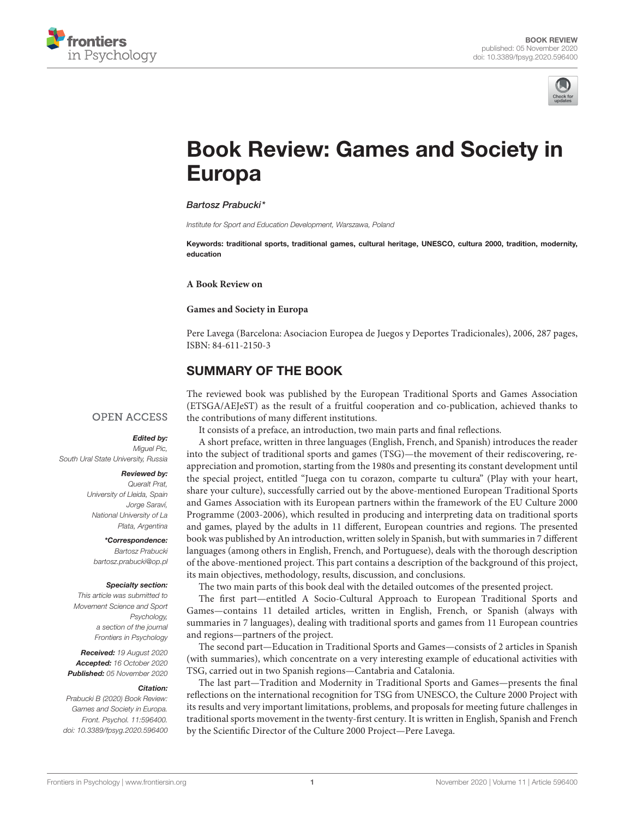



# [Book Review: Games and Society in](https://www.frontiersin.org/articles/10.3389/fpsyg.2020.596400/full) Europa

#### Bartosz Prabucki\*

Institute for Sport and Education Development, Warszawa, Poland

Keywords: traditional sports, traditional games, cultural heritage, UNESCO, cultura 2000, tradition, modernity, education

**A Book Review on**

#### **Games and Society in Europa**

Pere Lavega (Barcelona: Asociacion Europea de Juegos y Deportes Tradicionales), 2006, 287 pages, ISBN: 84-611-2150-3

## SUMMARY OF THE BOOK

## **OPEN ACCESS**

Edited by:

Miguel Pic. South Ural State University, Russia

#### Reviewed by:

Queralt Prat, University of Lleida, Spain Jorge Saraví, National University of La Plata, Argentina

## \*Correspondence:

Bartosz Prabucki [bartosz.prabucki@op.pl](mailto:bartosz.prabucki@op.pl)

#### Specialty section:

This article was submitted to Movement Science and Sport Psychology, a section of the journal Frontiers in Psychology

Received: 19 August 2020 Accepted: 16 October 2020 Published: 05 November 2020

#### Citation:

Prabucki B (2020) Book Review: Games and Society in Europa. Front. Psychol. 11:596400. doi: [10.3389/fpsyg.2020.596400](https://doi.org/10.3389/fpsyg.2020.596400) The reviewed book was published by the European Traditional Sports and Games Association (ETSGA/AEJeST) as the result of a fruitful cooperation and co-publication, achieved thanks to the contributions of many different institutions.

It consists of a preface, an introduction, two main parts and final reflections.

A short preface, written in three languages (English, French, and Spanish) introduces the reader into the subject of traditional sports and games (TSG)—the movement of their rediscovering, reappreciation and promotion, starting from the 1980s and presenting its constant development until the special project, entitled "Juega con tu corazon, comparte tu cultura" (Play with your heart, share your culture), successfully carried out by the above-mentioned European Traditional Sports and Games Association with its European partners within the framework of the EU Culture 2000 Programme (2003-2006), which resulted in producing and interpreting data on traditional sports and games, played by the adults in 11 different, European countries and regions. The presented book was published by An introduction, written solely in Spanish, but with summaries in 7 different languages (among others in English, French, and Portuguese), deals with the thorough description of the above-mentioned project. This part contains a description of the background of this project, its main objectives, methodology, results, discussion, and conclusions.

The two main parts of this book deal with the detailed outcomes of the presented project.

The first part—entitled A Socio-Cultural Approach to European Traditional Sports and Games—contains 11 detailed articles, written in English, French, or Spanish (always with summaries in 7 languages), dealing with traditional sports and games from 11 European countries and regions—partners of the project.

The second part—Education in Traditional Sports and Games—consists of 2 articles in Spanish (with summaries), which concentrate on a very interesting example of educational activities with TSG, carried out in two Spanish regions—Cantabria and Catalonia.

The last part—Tradition and Modernity in Traditional Sports and Games—presents the final reflections on the international recognition for TSG from UNESCO, the Culture 2000 Project with its results and very important limitations, problems, and proposals for meeting future challenges in traditional sports movement in the twenty-first century. It is written in English, Spanish and French by the Scientific Director of the Culture 2000 Project—Pere Lavega.